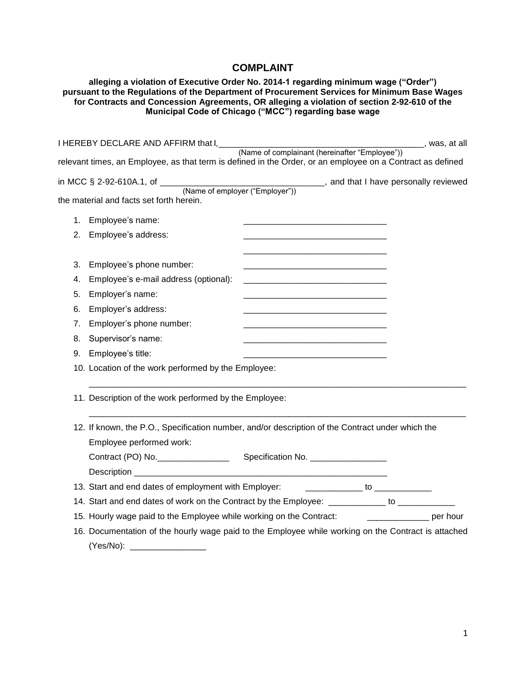## **COMPLAINT**

## **alleging a violation of Executive Order No. 2014-1 regarding minimum wage ("Order") pursuant to the Regulations of the Department of Procurement Services for Minimum Base Wages for Contracts and Concession Agreements, OR alleging a violation of section 2-92-610 of the Municipal Code of Chicago ("MCC") regarding base wage**

|                                          | I HEREBY DECLARE AND AFFIRM that $I_{\text{max}}$ (Name of complainant (hereinafter "Employee"))                             |                                                             |                                                                   | ______, was, at all |
|------------------------------------------|------------------------------------------------------------------------------------------------------------------------------|-------------------------------------------------------------|-------------------------------------------------------------------|---------------------|
|                                          | relevant times, an Employee, as that term is defined in the Order, or an employee on a Contract as defined                   |                                                             |                                                                   |                     |
|                                          | in MCC $\S$ 2-92-610A.1, of $\frac{N}{N}$ (Name of employer ("Employer")) and that I have personally reviewed                |                                                             |                                                                   |                     |
| the material and facts set forth herein. |                                                                                                                              |                                                             |                                                                   |                     |
| Employee's name:<br>1.                   |                                                                                                                              |                                                             | <u> 1980 - Johann Barbara, martin da kasar Amerikaan kasar da</u> |                     |
| Employee's address:<br>2.                |                                                                                                                              | <u> 1980 - Johann Barbara, martin din bashkar (b. 1980)</u> |                                                                   |                     |
| 3.                                       | Employee's phone number:                                                                                                     |                                                             |                                                                   |                     |
| 4.                                       | Employee's e-mail address (optional):                                                                                        |                                                             |                                                                   |                     |
| Employer's name:<br>5.                   |                                                                                                                              |                                                             |                                                                   |                     |
| Employer's address:<br>6.                |                                                                                                                              |                                                             |                                                                   |                     |
| 7.                                       | Employer's phone number:                                                                                                     |                                                             |                                                                   |                     |
| Supervisor's name:<br>8.                 |                                                                                                                              |                                                             |                                                                   |                     |
| Employee's title:<br>9.                  |                                                                                                                              |                                                             |                                                                   |                     |
|                                          | 10. Location of the work performed by the Employee:                                                                          |                                                             |                                                                   |                     |
|                                          | 11. Description of the work performed by the Employee:                                                                       |                                                             |                                                                   |                     |
|                                          | 12. If known, the P.O., Specification number, and/or description of the Contract under which the<br>Employee performed work: |                                                             |                                                                   |                     |
|                                          | Contract (PO) No.                                                                                                            | Specification No. ___________________                       |                                                                   |                     |
|                                          |                                                                                                                              |                                                             |                                                                   |                     |
|                                          |                                                                                                                              |                                                             |                                                                   |                     |
|                                          | 14. Start and end dates of work on the Contract by the Employee: __________ to _________                                     |                                                             |                                                                   |                     |
|                                          | 15. Hourly wage paid to the Employee while working on the Contract: ____________________ per hour                            |                                                             |                                                                   |                     |
|                                          | 16. Documentation of the hourly wage paid to the Employee while working on the Contract is attached                          |                                                             |                                                                   |                     |
|                                          |                                                                                                                              |                                                             |                                                                   |                     |
|                                          |                                                                                                                              |                                                             |                                                                   |                     |